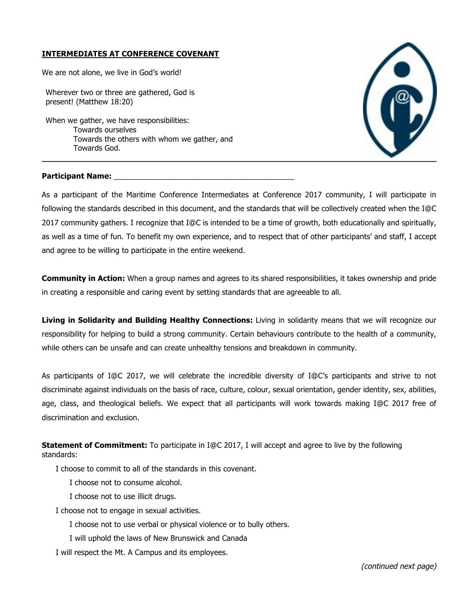## **INTERMEDIATES AT CONFERENCE COVENANT**

We are not alone, we live in God's world!

Wherever two or three are gathered, God is present! (Matthew 18:20)

When we gather, we have responsibilities: Towards ourselves Towards the others with whom we gather, and Towards God.



## **Participant Name:** \_\_\_\_\_\_\_\_\_\_\_\_\_\_\_\_\_\_\_\_\_\_\_\_\_\_\_\_\_\_\_\_\_\_\_\_\_\_\_\_\_\_\_

As a participant of the Maritime Conference Intermediates at Conference 2017 community, I will participate in following the standards described in this document, and the standards that will be collectively created when the I@C 2017 community gathers. I recognize that I@C is intended to be a time of growth, both educationally and spiritually, as well as a time of fun. To benefit my own experience, and to respect that of other participants' and staff, I accept and agree to be willing to participate in the entire weekend.

**Community in Action:** When a group names and agrees to its shared responsibilities, it takes ownership and pride in creating a responsible and caring event by setting standards that are agreeable to all.

**Living in Solidarity and Building Healthy Connections:** Living in solidarity means that we will recognize our responsibility for helping to build a strong community. Certain behaviours contribute to the health of a community, while others can be unsafe and can create unhealthy tensions and breakdown in community.

As participants of I@C 2017, we will celebrate the incredible diversity of I@C's participants and strive to not discriminate against individuals on the basis of race, culture, colour, sexual orientation, gender identity, sex, abilities, age, class, and theological beliefs. We expect that all participants will work towards making I@C 2017 free of discrimination and exclusion.

**Statement of Commitment:** To participate in I@C 2017, I will accept and agree to live by the following standards:

I choose to commit to all of the standards in this covenant.

I choose not to consume alcohol.

I choose not to use illicit drugs.

I choose not to engage in sexual activities.

I choose not to use verbal or physical violence or to bully others.

I will uphold the laws of New Brunswick and Canada

I will respect the Mt. A Campus and its employees.